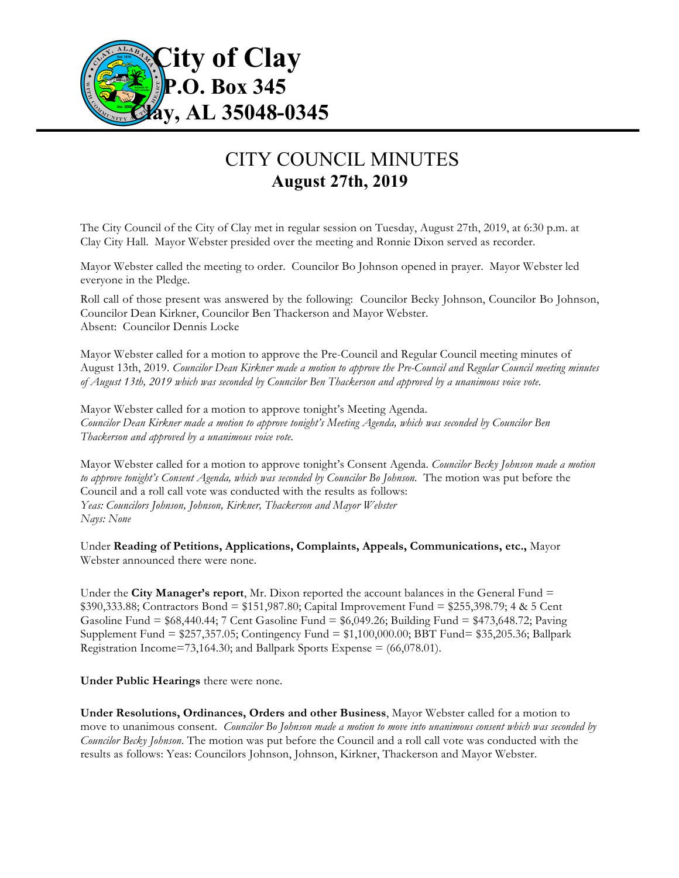

## CITY COUNCIL MINUTES **August 27th, 2019**

The City Council of the City of Clay met in regular session on Tuesday, August 27th, 2019, at 6:30 p.m. at Clay City Hall. Mayor Webster presided over the meeting and Ronnie Dixon served as recorder.

Mayor Webster called the meeting to order. Councilor Bo Johnson opened in prayer. Mayor Webster led everyone in the Pledge.

Roll call of those present was answered by the following: Councilor Becky Johnson, Councilor Bo Johnson, Councilor Dean Kirkner, Councilor Ben Thackerson and Mayor Webster. Absent: Councilor Dennis Locke

Mayor Webster called for a motion to approve the Pre-Council and Regular Council meeting minutes of August 13th, 2019. *Councilor Dean Kirkner made a motion to approve the Pre-Council and Regular Council meeting minutes of August 13th, 2019 which was seconded by Councilor Ben Thackerson and approved by a unanimous voice vote.*

Mayor Webster called for a motion to approve tonight's Meeting Agenda. *Councilor Dean Kirkner made a motion to approve tonight's Meeting Agenda, which was seconded by Councilor Ben Thackerson and approved by a unanimous voice vote.*

Mayor Webster called for a motion to approve tonight's Consent Agenda. *Councilor Becky Johnson made a motion to approve tonight's Consent Agenda, which was seconded by Councilor Bo Johnson.* The motion was put before the Council and a roll call vote was conducted with the results as follows: *Yeas: Councilors Johnson, Johnson, Kirkner, Thackerson and Mayor Webster Nays: None*

Under **Reading of Petitions, Applications, Complaints, Appeals, Communications, etc.,** Mayor Webster announced there were none.

Under the **City Manager's report**, Mr. Dixon reported the account balances in the General Fund = \$390,333.88; Contractors Bond = \$151,987.80; Capital Improvement Fund = \$255,398.79; 4 & 5 Cent Gasoline Fund = \$68,440.44; 7 Cent Gasoline Fund = \$6,049.26; Building Fund = \$473,648.72; Paving Supplement Fund = \$257,357.05; Contingency Fund = \$1,100,000.00; BBT Fund= \$35,205.36; Ballpark Registration Income=73,164.30; and Ballpark Sports Expense =  $(66,078.01)$ .

**Under Public Hearings** there were none.

**Under Resolutions, Ordinances, Orders and other Business**, Mayor Webster called for a motion to move to unanimous consent. *Councilor Bo Johnson made a motion to move into unanimous consent which was seconded by Councilor Becky Johnson*. The motion was put before the Council and a roll call vote was conducted with the results as follows: Yeas: Councilors Johnson, Johnson, Kirkner, Thackerson and Mayor Webster.